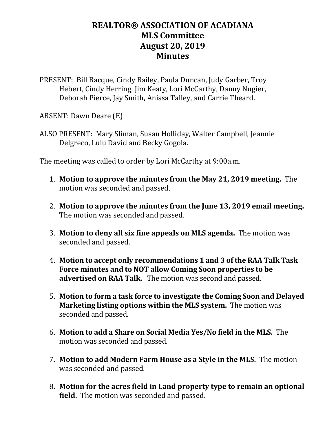## **REALTOR® ASSOCIATION OF ACADIANA MLS Committee August 20, 2019 Minutes**

PRESENT: Bill Bacque, Cindy Bailey, Paula Duncan, Judy Garber, Troy Hebert, Cindy Herring, Jim Keaty, Lori McCarthy, Danny Nugier, Deborah Pierce, Jay Smith, Anissa Talley, and Carrie Theard.

ABSENT: Dawn Deare (E)

ALSO PRESENT: Mary Sliman, Susan Holliday, Walter Campbell, Jeannie Delgreco, Lulu David and Becky Gogola.

The meeting was called to order by Lori McCarthy at 9:00a.m.

- 1. **Motion to approve the minutes from the May 21, 2019 meeting.** The motion was seconded and passed.
- 2. **Motion to approve the minutes from the June 13, 2019 email meeting.** The motion was seconded and passed.
- 3. **Motion to deny all six fine appeals on MLS agenda.** The motion was seconded and passed.
- 4. **Motion to accept only recommendations 1 and 3 of the RAA Talk Task Force minutes and to NOT allow Coming Soon properties to be advertised on RAA Talk.** The motion was second and passed.
- 5. **Motion to form a task force to investigate the Coming Soon and Delayed Marketing listing options within the MLS system.** The motion was seconded and passed.
- 6. **Motion to add a Share on Social Media Yes/No field in the MLS.** The motion was seconded and passed.
- 7. **Motion to add Modern Farm House as a Style in the MLS.** The motion was seconded and passed.
- 8. **Motion for the acres field in Land property type to remain an optional field.** The motion was seconded and passed.